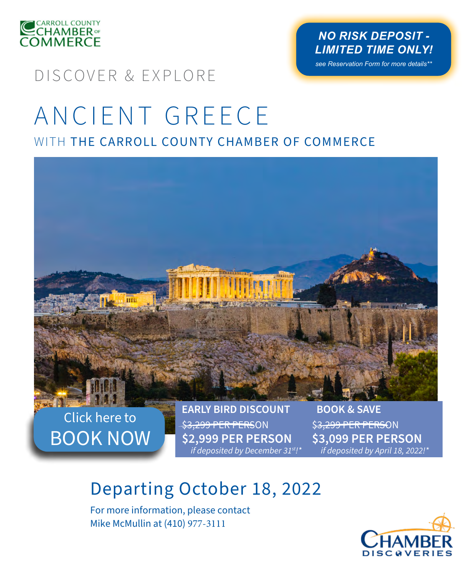

## *NO RISK DEPOSIT - LIMITED TIME ONLY!*

*see Reservation Form for more details\*\**

## DISCOVER & EXPLORE

# ANCIENT GREECE WITH THE CARROLL COUNTY CHAMBER OF COMMERCE



Click here to [BOOK NOW](https://centaur.chamberdiscoveries.com/centaur6/online/OPR_departureDateSelect?company=atg&tourId=001420GRE&groupId=1004421&depDate=10/18/2022) \$3,299 PER PERSON **\$2,999 PER PERSON** *if deposited by December 31st!\** \$3,299 PER PERSON **\$3,099 PER PERSON** *if deposited by April 18, 2022!\**

# Departing October 18, 2022

For more information, please contact Mike McMullin at (410) 977-3111

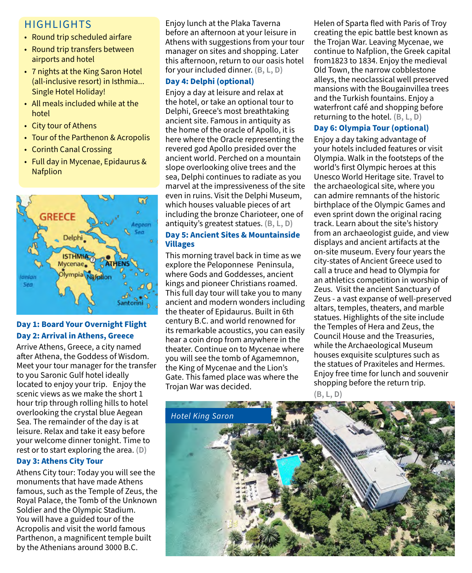## HIGHLIGHTS

- Round trip scheduled airfare
- Round trip transfers between airports and hotel
- 7 nights at the King Saron Hotel (all-inclusive resort) in Isthmia... Single Hotel Holiday!
- All meals included while at the hotel
- City tour of Athens
- Tour of the Parthenon & Acropolis
- Corinth Canal Crossing
- Full day in Mycenae, Epidaurus & **Nafplion**



### **Day 1: Board Your Overnight Flight Day 2: Arrival in Athens, Greece**

Arrive Athens, Greece, a city named after Athena, the Goddess of Wisdom. Meet your tour manager for the transfer to you Saronic Gulf hotel ideally located to enjoy your trip. Enjoy the scenic views as we make the short 1 hour trip through rolling hills to hotel overlooking the crystal blue Aegean Sea. The remainder of the day is at leisure. Relax and take it easy before your welcome dinner tonight. Time to rest or to start exploring the area. **(D)**

### **Day 3: Athens City Tour**

Athens City tour: Today you will see the monuments that have made Athens famous, such as the Temple of Zeus, the Royal Palace, the Tomb of the Unknown Soldier and the Olympic Stadium. You will have a guided tour of the Acropolis and visit the world famous Parthenon, a magnificent temple built by the Athenians around 3000 B.C.

Enjoy lunch at the Plaka Taverna before an afternoon at your leisure in Athens with suggestions from your tour manager on sites and shopping. Later this afternoon, return to our oasis hotel for your included dinner. **(B, L, D)**

### **Day 4: Delphi (optional)**

Enjoy a day at leisure and relax at the hotel, or take an optional tour to Delphi, Greece's most breathtaking ancient site. Famous in antiquity as the home of the oracle of Apollo, it is here where the Oracle representing the revered god Apollo presided over the ancient world. Perched on a mountain slope overlooking olive trees and the sea, Delphi continues to radiate as you marvel at the impressiveness of the site even in ruins. Visit the Delphi Museum, which houses valuable pieces of art including the bronze Charioteer, one of antiquity's greatest statues. **(B, L, D)**

### **Day 5: Ancient Sites & Mountainside Villages**

This morning travel back in time as we explore the Peloponnese Peninsula, where Gods and Goddesses, ancient kings and pioneer Christians roamed. This full day tour will take you to many ancient and modern wonders including the theater of Epidaurus. Built in 6th century B.C. and world renowned for its remarkable acoustics, you can easily hear a coin drop from anywhere in the theater. Continue on to Mycenae where you will see the tomb of Agamemnon, the King of Mycenae and the Lion's Gate. This famed place was where the Trojan War was decided.

Helen of Sparta fled with Paris of Troy creating the epic battle best known as the Trojan War. Leaving Mycenae, we continue to Nafplion, the Greek capital from1823 to 1834. Enjoy the medieval Old Town, the narrow cobblestone alleys, the neoclassical well preserved mansions with the Bougainvillea trees and the Turkish fountains. Enjoy a waterfront café and shopping before returning to the hotel. **(B, L, D)**

### **Day 6: Olympia Tour (optional)**

Enjoy a day taking advantage of your hotels included features or visit Olympia. Walk in the footsteps of the world's first Olympic heroes at this Unesco World Heritage site. Travel to the archaeological site, where you can admire remnants of the historic birthplace of the Olympic Games and even sprint down the original racing track. Learn about the site's history from an archaeologist guide, and view displays and ancient artifacts at the on-site museum. Every four years the city-states of Ancient Greece used to call a truce and head to Olympia for an athletics competition in worship of Zeus. Visit the ancient Sanctuary of Zeus - a vast expanse of well-preserved altars, temples, theaters, and marble statues. Highlights of the site include the Temples of Hera and Zeus, the Council House and the Treasuries, while the Archaeological Museum houses exquisite sculptures such as the statues of Praxiteles and Hermes. Enjoy free time for lunch and souvenir shopping before the return trip.

**(B, L, D)** 

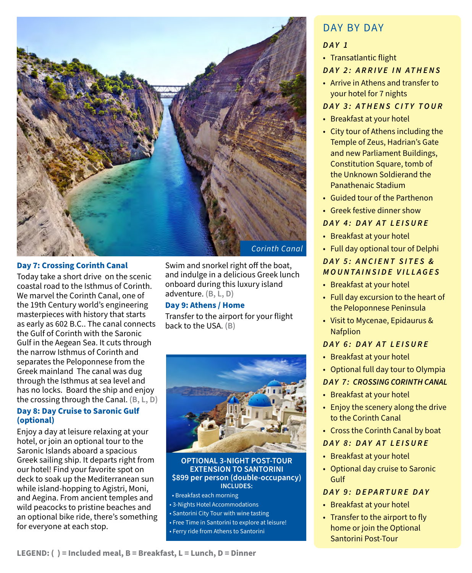

### **Day 7: Crossing Corinth Canal**

Today take a short drive on the scenic coastal road to the Isthmus of Corinth. We marvel the Corinth Canal, one of the 19th Century world's engineering masterpieces with history that starts as early as 602 B.C.. The canal connects the Gulf of Corinth with the Saronic Gulf in the Aegean Sea. It cuts through the narrow Isthmus of Corinth and separates the Peloponnese from the Greek mainland The canal was dug through the Isthmus at sea level and has no locks. Board the ship and enjoy the crossing through the Canal. **(B, L, D)**

### **Day 8: Day Cruise to Saronic Gulf (optional)**

Enjoy a day at leisure relaxing at your hotel, or join an optional tour to the Saronic Islands aboard a spacious Greek sailing ship. It departs right from our hotel! Find your favorite spot on deck to soak up the Mediterranean sun while island-hopping to Agistri, Moni, and Aegina. From ancient temples and wild peacocks to pristine beaches and an optional bike ride, there's something for everyone at each stop.

Swim and snorkel right off the boat, and indulge in a delicious Greek lunch onboard during this luxury island adventure. **(B, L, D)**

### **Day 9: Athens / Home**

Transfer to the airport for your flight back to the USA. **(B)**



#### **OPTIONAL 3-NIGHT POST-TOUR EXTENSION TO SANTORINI \$899 per person (double-occupancy) INCLUDES:**

• Breakfast each morning • 3-Nights Hotel Accommodations • Santorini City Tour with wine tasting • Free Time in Santorini to explore at leisure! • Ferry ride from Athens to Santorini

## DAY BY DAY

### *DAY 1*

• Transatlantic flight

### *DAY 2: ARRIVE IN ATHENS*

• Arrive in Athens and transfer to your hotel for 7 nights

### *DAY 3: ATHENS CITY TOUR*

- Breakfast at your hotel
- City tour of Athens including the Temple of Zeus, Hadrian's Gate and new Parliament Buildings, Constitution Square, tomb of the Unknown Soldierand the Panathenaic Stadium
- Guided tour of the Parthenon
- Greek festive dinner show

### *DAY 4: DAY AT LEISURE*

- Breakfast at your hotel
- Full day optional tour of Delphi

### *DAY 5: ANCIENT SITES & MOUNTAINSIDE VILLAGES*

- Breakfast at your hotel
- Full day excursion to the heart of the Peloponnese Peninsula
- Visit to Mycenae, Epidaurus & Nafplion

### *DAY 6: DAY AT LEISURE*

- Breakfast at your hotel
- Optional full day tour to Olympia

### *D AY 7 : CROSSING CORINTH CANAL*

- Breakfast at your hotel
- Enjoy the scenery along the drive to the Corinth Canal
- Cross the Corinth Canal by boat

### *DAY 8: DAY AT LEISURE*

- Breakfast at your hotel
- Optional day cruise to Saronic Gulf

### *DAY 9: DEPARTURE DAY*

- Breakfast at your hotel
- Transfer to the airport to fly home or join the Optional Santorini Post-Tour